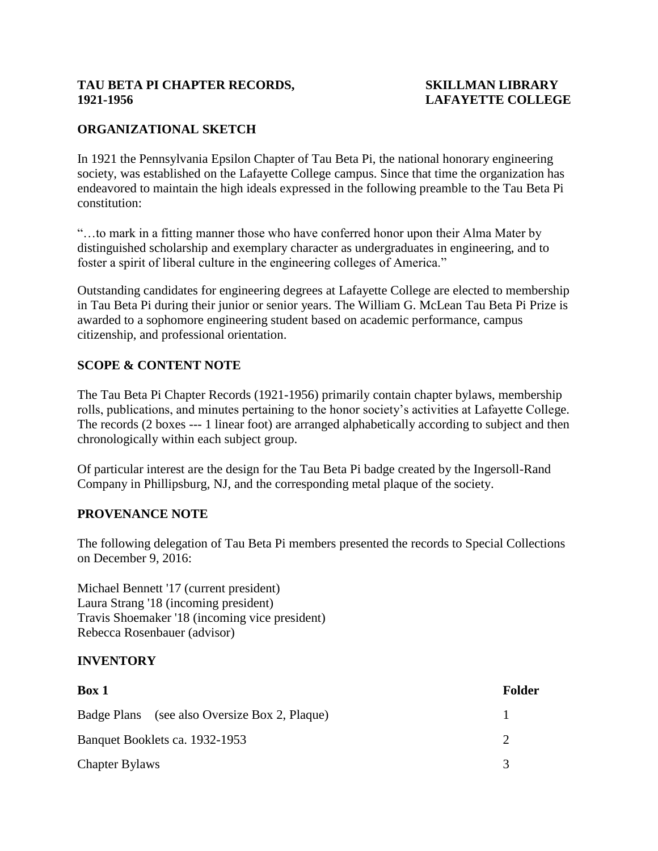## **TAU BETA PI CHAPTER RECORDS, SKILLMAN LIBRARY 1921-1956 LAFAYETTE COLLEGE**

# **ORGANIZATIONAL SKETCH**

In 1921 the Pennsylvania Epsilon Chapter of Tau Beta Pi, the national honorary engineering society, was established on the Lafayette College campus. Since that time the organization has endeavored to maintain the high ideals expressed in the following preamble to the Tau Beta Pi constitution:

"…to mark in a fitting manner those who have conferred honor upon their Alma Mater by distinguished scholarship and exemplary character as undergraduates in engineering, and to foster a spirit of liberal culture in the engineering colleges of America."

Outstanding candidates for engineering degrees at Lafayette College are elected to membership in Tau Beta Pi during their junior or senior years. The William G. McLean Tau Beta Pi Prize is awarded to a sophomore engineering student based on academic performance, campus citizenship, and professional orientation.

## **SCOPE & CONTENT NOTE**

The Tau Beta Pi Chapter Records (1921-1956) primarily contain chapter bylaws, membership rolls, publications, and minutes pertaining to the honor society's activities at Lafayette College. The records (2 boxes --- 1 linear foot) are arranged alphabetically according to subject and then chronologically within each subject group.

Of particular interest are the design for the Tau Beta Pi badge created by the Ingersoll-Rand Company in Phillipsburg, NJ, and the corresponding metal plaque of the society.

## **PROVENANCE NOTE**

The following delegation of Tau Beta Pi members presented the records to Special Collections on December 9, 2016:

Michael Bennett '17 (current president) Laura Strang '18 (incoming president) Travis Shoemaker '18 (incoming vice president) Rebecca Rosenbauer (advisor)

## **INVENTORY**

| Box 1                                         | Folder |
|-----------------------------------------------|--------|
| Badge Plans (see also Oversize Box 2, Plaque) |        |
| Banquet Booklets ca. 1932-1953                |        |
| <b>Chapter Bylaws</b>                         |        |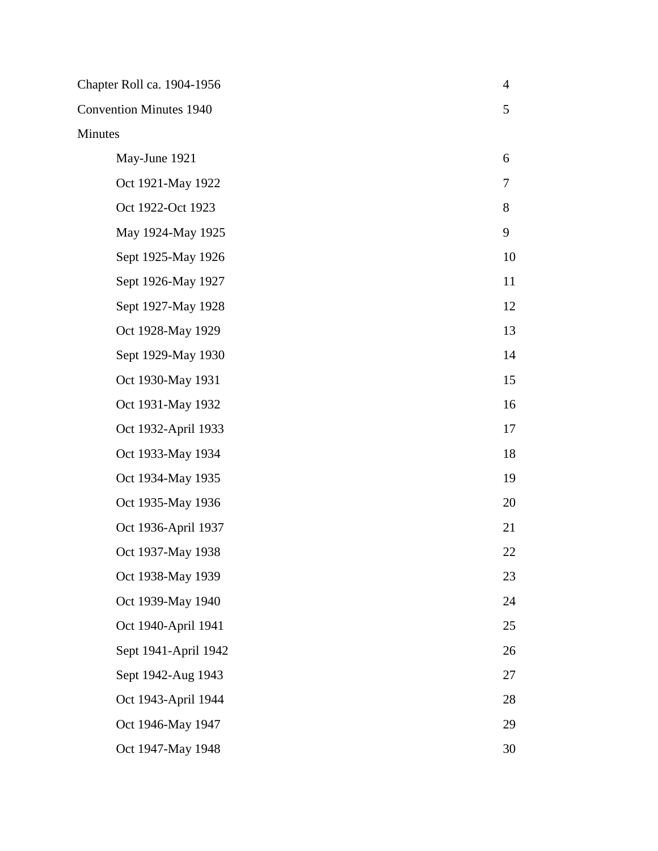| Chapter Roll ca. 1904-1956     | $\overline{4}$ |
|--------------------------------|----------------|
| <b>Convention Minutes 1940</b> | 5              |
| Minutes                        |                |
| May-June 1921                  | 6              |
| Oct 1921-May 1922              | 7              |
| Oct 1922-Oct 1923              | 8              |
| May 1924-May 1925              | 9              |
| Sept 1925-May 1926             | 10             |
| Sept 1926-May 1927             | 11             |
| Sept 1927-May 1928             | 12             |
| Oct 1928-May 1929              | 13             |
| Sept 1929-May 1930             | 14             |
| Oct 1930-May 1931              | 15             |
| Oct 1931-May 1932              | 16             |
| Oct 1932-April 1933            | 17             |
| Oct 1933-May 1934              | 18             |
| Oct 1934-May 1935              | 19             |
| Oct 1935-May 1936              | 20             |
| Oct 1936-April 1937            | 21             |
| Oct 1937-May 1938              | 22             |
| Oct 1938-May 1939              | 23             |
| Oct 1939-May 1940              | 24             |
| Oct 1940-April 1941            | 25             |
| Sept 1941-April 1942           | 26             |
| Sept 1942-Aug 1943             | 27             |
| Oct 1943-April 1944            | 28             |
| Oct 1946-May 1947              | 29             |
| Oct 1947-May 1948              | 30             |